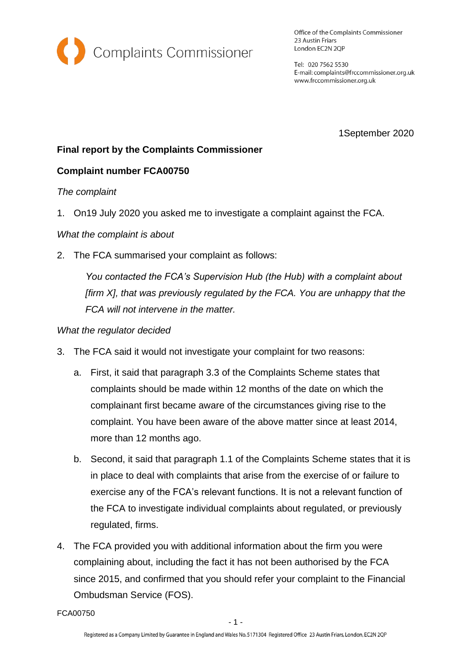

Office of the Complaints Commissioner 23 Austin Friars London EC2N 2QP

Tel: 020 7562 5530 E-mail: complaints@frccommissioner.org.uk www.frccommissioner.org.uk

1September 2020

# **Final report by the Complaints Commissioner**

## **Complaint number FCA00750**

### *The complaint*

1. On19 July 2020 you asked me to investigate a complaint against the FCA.

### *What the complaint is about*

2. The FCA summarised your complaint as follows:

*You contacted the FCA's Supervision Hub (the Hub) with a complaint about [firm X], that was previously regulated by the FCA. You are unhappy that the FCA will not intervene in the matter.*

### *What the regulator decided*

- 3. The FCA said it would not investigate your complaint for two reasons:
	- a. First, it said that paragraph 3.3 of the Complaints Scheme states that complaints should be made within 12 months of the date on which the complainant first became aware of the circumstances giving rise to the complaint. You have been aware of the above matter since at least 2014, more than 12 months ago.
	- b. Second, it said that paragraph 1.1 of the Complaints Scheme states that it is in place to deal with complaints that arise from the exercise of or failure to exercise any of the FCA's relevant functions. It is not a relevant function of the FCA to investigate individual complaints about regulated, or previously regulated, firms.
- 4. The FCA provided you with additional information about the firm you were complaining about, including the fact it has not been authorised by the FCA since 2015, and confirmed that you should refer your complaint to the Financial Ombudsman Service (FOS).

FCA00750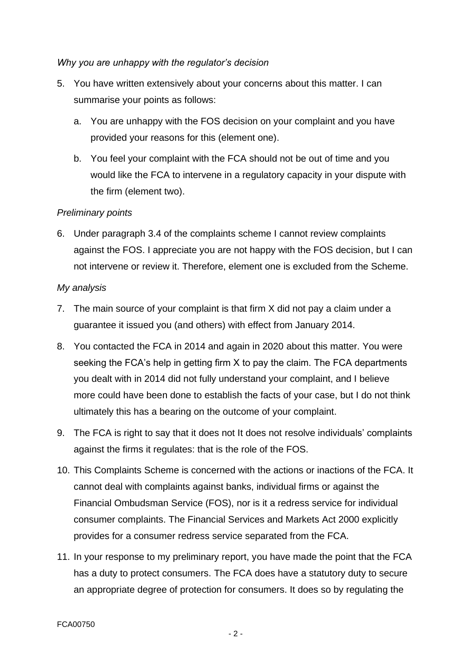### *Why you are unhappy with the regulator's decision*

- 5. You have written extensively about your concerns about this matter. I can summarise your points as follows:
	- a. You are unhappy with the FOS decision on your complaint and you have provided your reasons for this (element one).
	- b. You feel your complaint with the FCA should not be out of time and you would like the FCA to intervene in a regulatory capacity in your dispute with the firm (element two).

### *Preliminary points*

6. Under paragraph 3.4 of the complaints scheme I cannot review complaints against the FOS. I appreciate you are not happy with the FOS decision, but I can not intervene or review it. Therefore, element one is excluded from the Scheme.

### *My analysis*

- 7. The main source of your complaint is that firm X did not pay a claim under a guarantee it issued you (and others) with effect from January 2014.
- 8. You contacted the FCA in 2014 and again in 2020 about this matter. You were seeking the FCA's help in getting firm X to pay the claim. The FCA departments you dealt with in 2014 did not fully understand your complaint, and I believe more could have been done to establish the facts of your case, but I do not think ultimately this has a bearing on the outcome of your complaint.
- 9. The FCA is right to say that it does not It does not resolve individuals' complaints against the firms it regulates: that is the role of the FOS.
- 10. This Complaints Scheme is concerned with the actions or inactions of the FCA. It cannot deal with complaints against banks, individual firms or against the Financial Ombudsman Service (FOS), nor is it a redress service for individual consumer complaints. The Financial Services and Markets Act 2000 explicitly provides for a consumer redress service separated from the FCA.
- 11. In your response to my preliminary report, you have made the point that the FCA has a duty to protect consumers. The FCA does have a statutory duty to secure an appropriate degree of protection for consumers. It does so by regulating the